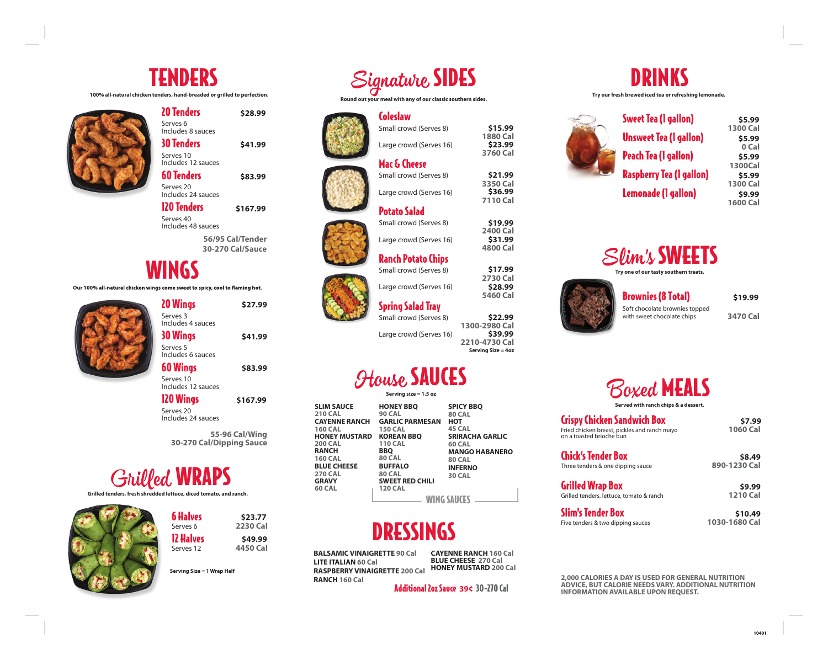# TENDERS

**100% all-natural chicken tenders, hand-breaded or grilled to perfection.** 



| 20 Tenders                      | \$28.99  |
|---------------------------------|----------|
| Serves 6<br>Includes 8 sauces   |          |
| 30 Tenders                      | \$41.99  |
| Serves 10<br>Includes 12 sauces |          |
| 60 Tenders                      | \$83.99  |
| Serves 20<br>Includes 24 sauces |          |
| <b>120 Tenders</b>              | \$167.99 |

**56/95 Cal/Tender 30-270 Cal/Sauce** Includes 48 sauces

**\$27.99**

### WINGS

Serves 40

Our 100% all-natural chicken wings come sweet to spicy, cool to flaming hot.

20 Wings Serves 3 Includes 4 sauces 30 Wings Serves 5 Includes 6 sauces **\$41.99**

60 Wings Serves 10 Includes 12 sauces **\$83.99**

120 Wings Serves 20 Includes 24 sauces **\$167.99**

**55-96 Cal/Wing 30-270 Cal/Dipping Sauce** 

# **Grilled WRAPS**

Grilled tenders, fresh shredded lettuce, diced tomato, and ranch.



| 6 Halves<br>Serves <sub>6</sub> | \$23.77<br>2230 Cal |
|---------------------------------|---------------------|
| 12 Halves                       | \$49.99             |
| Serves 12                       | 4450 Cal            |
|                                 |                     |

**Serving Size = 1 Wrap Half** 



**Round out your meal with any of our classic southern sides.** 

Small crowd (Serves 8)

Large crowd (Serves 16)

Large crowd (Serves 16)

Large crowd (Serves 16)

Mac & Cheese Small crowd (Serves 8)

Potato Salad Small crowd (Serves 8)

Coleslaw











Large crowd (Serves 16)

**1300-2980 Cal 2210-4730 Cal Serving Size = 4oz \$22.99 \$39.99**

**1880 Cal** 

**\$15.99 \$23.99**

**3760 Cal** 

**3350 Cal** 

**\$21.99 \$36.99**

**7110 Cal** 

**2400 Cal** 

**\$19.99 \$31.99**

**4800 Cal**

**2730 Cal** 

**\$17.99 \$28.99**

**5460 Cal** 

## *HAULO* SAUCES

| <b>SLIM SAUCE</b><br><b>210 CAL</b><br><b>CAYENNE RANCH</b><br><b>160 CAL</b><br><b>HONEY MUSTARD</b><br><b>200 CAL</b><br><b>RANCH</b><br><b>160 CAL</b><br><b>BLUE CHEESE</b><br><b>270 CAL</b><br><b>GRAVY</b><br><b>60 CAL</b> | <b>HONEY BBQ</b><br><b>90 CAL</b><br><b>GARLIC PARMESAN</b><br><b>150 CAL</b><br><b>KOREAN BBO</b><br><b>110 CAL</b><br><b>BBQ</b><br><b>80 CAL</b><br><b>BUFFALO</b><br><b>80 CAL</b><br><b>SWEET RED CHILI</b><br><b>120 CAL</b> | <b>SPICY BBO</b><br><b>80 CAL</b><br>нот<br>45 CAL<br><b>SRIRACHA GARLIC</b><br><b>60 CAL</b><br><b>MANGO HABANERO</b><br><b>80 CAL</b><br><b>INFERNO</b><br><b>30 CAL</b> |  |
|------------------------------------------------------------------------------------------------------------------------------------------------------------------------------------------------------------------------------------|------------------------------------------------------------------------------------------------------------------------------------------------------------------------------------------------------------------------------------|----------------------------------------------------------------------------------------------------------------------------------------------------------------------------|--|
|                                                                                                                                                                                                                                    | <b>WING SAUCE</b>                                                                                                                                                                                                                  |                                                                                                                                                                            |  |

# DRESSINGS

**BALSAMIC VINAIGRETTE 90 Cal LITE ITALIAN 60 Cal RASPBERRY VINAIGRETTE 200 Cal RANCH 160 Cal**

**CAYENNE RANCH 160 Cal BLUE CHEESE 270 Cal HONEY MUSTARD 200 Cal** 

Additional 2oz Sauce 30-270 Cal **39¢**



**Try our fresh brewed iced tea or refreshing lemonade.** 



**1300 Cal 0 Cal 1300Cal 1300 Cal 1600 Cal \$5.99 \$5.99 \$5.99 \$5.99 \$9.99**



**Try one of our tasty southern treats.**



**3470 Cal**  Soft chocolate brownies topped **\$19.99**

Boxed MEALS **Served with ranch chips & a dessert.** 

Crispy Chicken Sandwich Box Fried chicken breast, pickles and ranch mayo **1060 Cal**  on a toasted brioche bun

**\$7.99**

**\$8.49**

**\$9.99**

Chick's Tender Box Three tenders & one dipping sauce **890-1230 Cal**

Grilled Wrap Box

Grilled tenders, lettuce, tomato & ranch **1210 Cal** Slim's Tender Box

Five tenders & two dipping sauces **1030-1680 Cal \$10.49**

**2,000 CALORIES A DAY IS USED FOR GENERAL NUTRITION ADVICE, BUT CALORIE NEEDS VARY. ADDITIONAL NUTRITION INFORMATION AVAILABLE UPON REQUEST.** 





Small crowd (Serves 8)

|             | I WWJU JNV LEJ         |                 |
|-------------|------------------------|-----------------|
|             | Serving size = 1.5 oz  |                 |
|             | <b>HONEY BBO</b>       | <b>SPICY BE</b> |
|             | <b>90 CAL</b>          | <b>80 CAL</b>   |
| NCH         | <b>GARLIC PARMESAN</b> | нот             |
|             | <b>150 CAL</b>         | 45 CAL          |
| <b>TARD</b> | <b>KOREAN BBO</b>      | <b>SRIRACH</b>  |
|             | <b>110 CAL</b>         | <b>60 CAL</b>   |
|             | BBO                    | MANGO           |